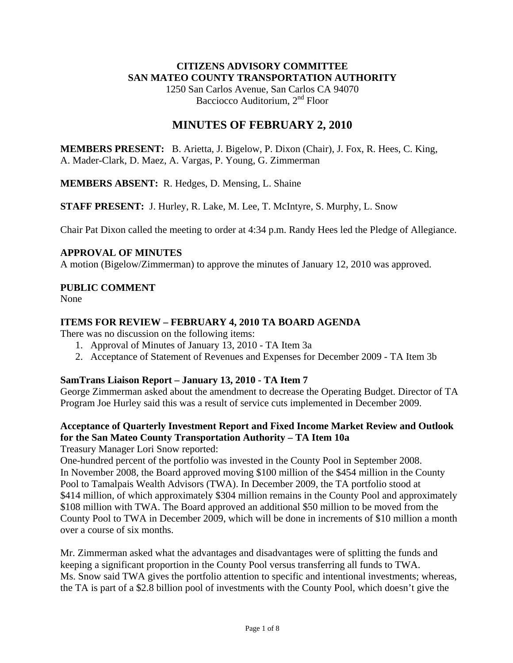#### **CITIZENS ADVISORY COMMITTEE SAN MATEO COUNTY TRANSPORTATION AUTHORITY**

1250 San Carlos Avenue, San Carlos CA 94070 Bacciocco Auditorium, 2<sup>nd</sup> Floor

# **MINUTES OF FEBRUARY 2, 2010**

**MEMBERS PRESENT:** B. Arietta, J. Bigelow, P. Dixon (Chair), J. Fox, R. Hees, C. King, A. Mader-Clark, D. Maez, A. Vargas, P. Young, G. Zimmerman

**MEMBERS ABSENT:** R. Hedges, D. Mensing, L. Shaine

**STAFF PRESENT:** J. Hurley, R. Lake, M. Lee, T. McIntyre, S. Murphy, L. Snow

Chair Pat Dixon called the meeting to order at 4:34 p.m. Randy Hees led the Pledge of Allegiance.

#### **APPROVAL OF MINUTES**

A motion (Bigelow/Zimmerman) to approve the minutes of January 12, 2010 was approved.

#### **PUBLIC COMMENT**

None

#### **ITEMS FOR REVIEW – FEBRUARY 4, 2010 TA BOARD AGENDA**

There was no discussion on the following items:

- 1. Approval of Minutes of January 13, 2010 TA Item 3a
- 2. Acceptance of Statement of Revenues and Expenses for December 2009 TA Item 3b

#### **SamTrans Liaison Report – January 13, 2010 - TA Item 7**

George Zimmerman asked about the amendment to decrease the Operating Budget. Director of TA Program Joe Hurley said this was a result of service cuts implemented in December 2009.

# **Acceptance of Quarterly Investment Report and Fixed Income Market Review and Outlook for the San Mateo County Transportation Authority – TA Item 10a**

Treasury Manager Lori Snow reported:

One-hundred percent of the portfolio was invested in the County Pool in September 2008. In November 2008, the Board approved moving \$100 million of the \$454 million in the County Pool to Tamalpais Wealth Advisors (TWA). In December 2009, the TA portfolio stood at \$414 million, of which approximately \$304 million remains in the County Pool and approximately \$108 million with TWA. The Board approved an additional \$50 million to be moved from the County Pool to TWA in December 2009, which will be done in increments of \$10 million a month over a course of six months.

Mr. Zimmerman asked what the advantages and disadvantages were of splitting the funds and keeping a significant proportion in the County Pool versus transferring all funds to TWA. Ms. Snow said TWA gives the portfolio attention to specific and intentional investments; whereas, the TA is part of a \$2.8 billion pool of investments with the County Pool, which doesn't give the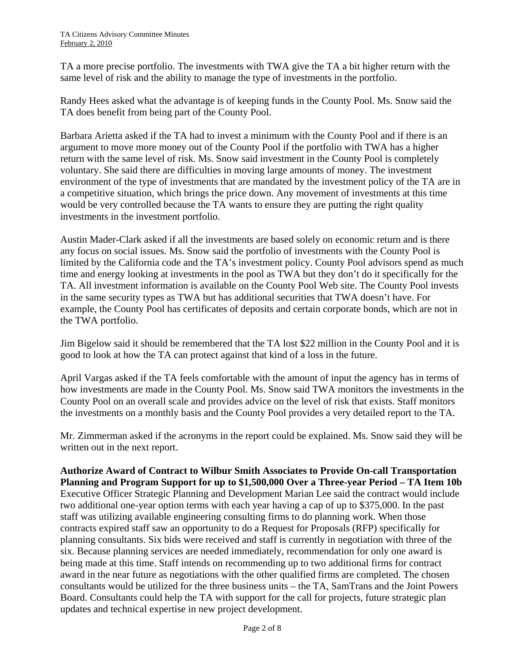TA a more precise portfolio. The investments with TWA give the TA a bit higher return with the same level of risk and the ability to manage the type of investments in the portfolio.

Randy Hees asked what the advantage is of keeping funds in the County Pool. Ms. Snow said the TA does benefit from being part of the County Pool.

Barbara Arietta asked if the TA had to invest a minimum with the County Pool and if there is an argument to move more money out of the County Pool if the portfolio with TWA has a higher return with the same level of risk. Ms. Snow said investment in the County Pool is completely voluntary. She said there are difficulties in moving large amounts of money. The investment environment of the type of investments that are mandated by the investment policy of the TA are in a competitive situation, which brings the price down. Any movement of investments at this time would be very controlled because the TA wants to ensure they are putting the right quality investments in the investment portfolio.

Austin Mader-Clark asked if all the investments are based solely on economic return and is there any focus on social issues. Ms. Snow said the portfolio of investments with the County Pool is limited by the California code and the TA's investment policy. County Pool advisors spend as much time and energy looking at investments in the pool as TWA but they don't do it specifically for the TA. All investment information is available on the County Pool Web site. The County Pool invests in the same security types as TWA but has additional securities that TWA doesn't have. For example, the County Pool has certificates of deposits and certain corporate bonds, which are not in the TWA portfolio.

Jim Bigelow said it should be remembered that the TA lost \$22 million in the County Pool and it is good to look at how the TA can protect against that kind of a loss in the future.

April Vargas asked if the TA feels comfortable with the amount of input the agency has in terms of how investments are made in the County Pool. Ms. Snow said TWA monitors the investments in the County Pool on an overall scale and provides advice on the level of risk that exists. Staff monitors the investments on a monthly basis and the County Pool provides a very detailed report to the TA.

Mr. Zimmerman asked if the acronyms in the report could be explained. Ms. Snow said they will be written out in the next report.

**Authorize Award of Contract to Wilbur Smith Associates to Provide On-call Transportation Planning and Program Support for up to \$1,500,000 Over a Three-year Period – TA Item 10b**  Executive Officer Strategic Planning and Development Marian Lee said the contract would include two additional one-year option terms with each year having a cap of up to \$375,000. In the past staff was utilizing available engineering consulting firms to do planning work. When those contracts expired staff saw an opportunity to do a Request for Proposals (RFP) specifically for planning consultants. Six bids were received and staff is currently in negotiation with three of the six. Because planning services are needed immediately, recommendation for only one award is being made at this time. Staff intends on recommending up to two additional firms for contract award in the near future as negotiations with the other qualified firms are completed. The chosen consultants would be utilized for the three business units – the TA, SamTrans and the Joint Powers Board. Consultants could help the TA with support for the call for projects, future strategic plan updates and technical expertise in new project development.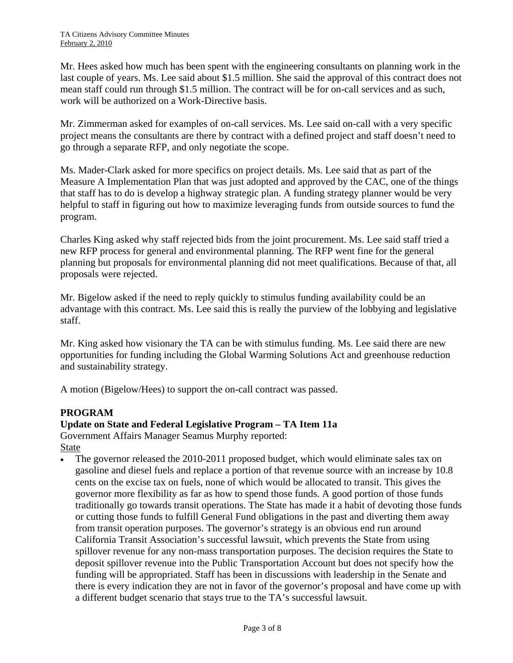Mr. Hees asked how much has been spent with the engineering consultants on planning work in the last couple of years. Ms. Lee said about \$1.5 million. She said the approval of this contract does not mean staff could run through \$1.5 million. The contract will be for on-call services and as such, work will be authorized on a Work-Directive basis.

Mr. Zimmerman asked for examples of on-call services. Ms. Lee said on-call with a very specific project means the consultants are there by contract with a defined project and staff doesn't need to go through a separate RFP, and only negotiate the scope.

Ms. Mader-Clark asked for more specifics on project details. Ms. Lee said that as part of the Measure A Implementation Plan that was just adopted and approved by the CAC, one of the things that staff has to do is develop a highway strategic plan. A funding strategy planner would be very helpful to staff in figuring out how to maximize leveraging funds from outside sources to fund the program.

Charles King asked why staff rejected bids from the joint procurement. Ms. Lee said staff tried a new RFP process for general and environmental planning. The RFP went fine for the general planning but proposals for environmental planning did not meet qualifications. Because of that, all proposals were rejected.

Mr. Bigelow asked if the need to reply quickly to stimulus funding availability could be an advantage with this contract. Ms. Lee said this is really the purview of the lobbying and legislative staff.

Mr. King asked how visionary the TA can be with stimulus funding. Ms. Lee said there are new opportunities for funding including the Global Warming Solutions Act and greenhouse reduction and sustainability strategy.

A motion (Bigelow/Hees) to support the on-call contract was passed.

# **PROGRAM**

# **Update on State and Federal Legislative Program – TA Item 11a**

Government Affairs Manager Seamus Murphy reported: State

The governor released the 2010-2011 proposed budget, which would eliminate sales tax on gasoline and diesel fuels and replace a portion of that revenue source with an increase by 10.8 cents on the excise tax on fuels, none of which would be allocated to transit. This gives the governor more flexibility as far as how to spend those funds. A good portion of those funds traditionally go towards transit operations. The State has made it a habit of devoting those funds or cutting those funds to fulfill General Fund obligations in the past and diverting them away from transit operation purposes. The governor's strategy is an obvious end run around California Transit Association's successful lawsuit, which prevents the State from using spillover revenue for any non-mass transportation purposes. The decision requires the State to deposit spillover revenue into the Public Transportation Account but does not specify how the funding will be appropriated. Staff has been in discussions with leadership in the Senate and there is every indication they are not in favor of the governor's proposal and have come up with a different budget scenario that stays true to the TA's successful lawsuit.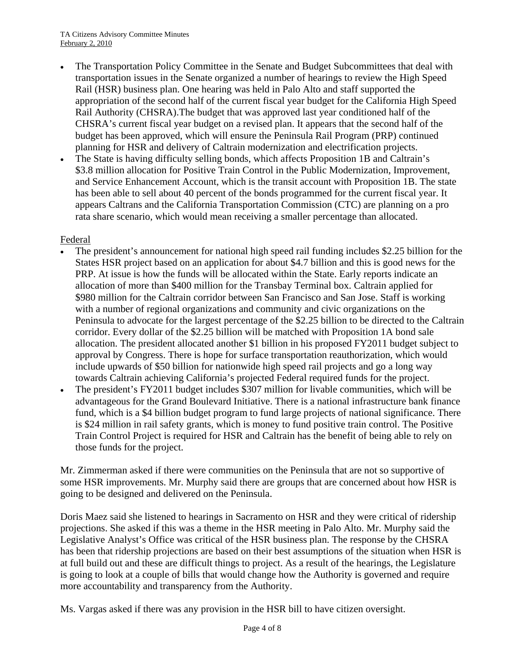- The Transportation Policy Committee in the Senate and Budget Subcommittees that deal with transportation issues in the Senate organized a number of hearings to review the High Speed Rail (HSR) business plan. One hearing was held in Palo Alto and staff supported the appropriation of the second half of the current fiscal year budget for the California High Speed Rail Authority (CHSRA).The budget that was approved last year conditioned half of the CHSRA's current fiscal year budget on a revised plan. It appears that the second half of the budget has been approved, which will ensure the Peninsula Rail Program (PRP) continued planning for HSR and delivery of Caltrain modernization and electrification projects.
- The State is having difficulty selling bonds, which affects Proposition 1B and Caltrain's \$3.8 million allocation for Positive Train Control in the Public Modernization, Improvement, and Service Enhancement Account, which is the transit account with Proposition 1B. The state has been able to sell about 40 percent of the bonds programmed for the current fiscal year. It appears Caltrans and the California Transportation Commission (CTC) are planning on a pro rata share scenario, which would mean receiving a smaller percentage than allocated.

#### Federal

- The president's announcement for national high speed rail funding includes \$2.25 billion for the States HSR project based on an application for about \$4.7 billion and this is good news for the PRP. At issue is how the funds will be allocated within the State. Early reports indicate an allocation of more than \$400 million for the Transbay Terminal box. Caltrain applied for \$980 million for the Caltrain corridor between San Francisco and San Jose. Staff is working with a number of regional organizations and community and civic organizations on the Peninsula to advocate for the largest percentage of the \$2.25 billion to be directed to the Caltrain corridor. Every dollar of the \$2.25 billion will be matched with Proposition 1A bond sale allocation. The president allocated another \$1 billion in his proposed FY2011 budget subject to approval by Congress. There is hope for surface transportation reauthorization, which would include upwards of \$50 billion for nationwide high speed rail projects and go a long way towards Caltrain achieving California's projected Federal required funds for the project.
- The president's FY2011 budget includes \$307 million for livable communities, which will be advantageous for the Grand Boulevard Initiative. There is a national infrastructure bank finance fund, which is a \$4 billion budget program to fund large projects of national significance. There is \$24 million in rail safety grants, which is money to fund positive train control. The Positive Train Control Project is required for HSR and Caltrain has the benefit of being able to rely on those funds for the project.

Mr. Zimmerman asked if there were communities on the Peninsula that are not so supportive of some HSR improvements. Mr. Murphy said there are groups that are concerned about how HSR is going to be designed and delivered on the Peninsula.

Doris Maez said she listened to hearings in Sacramento on HSR and they were critical of ridership projections. She asked if this was a theme in the HSR meeting in Palo Alto. Mr. Murphy said the Legislative Analyst's Office was critical of the HSR business plan. The response by the CHSRA has been that ridership projections are based on their best assumptions of the situation when HSR is at full build out and these are difficult things to project. As a result of the hearings, the Legislature is going to look at a couple of bills that would change how the Authority is governed and require more accountability and transparency from the Authority.

Ms. Vargas asked if there was any provision in the HSR bill to have citizen oversight.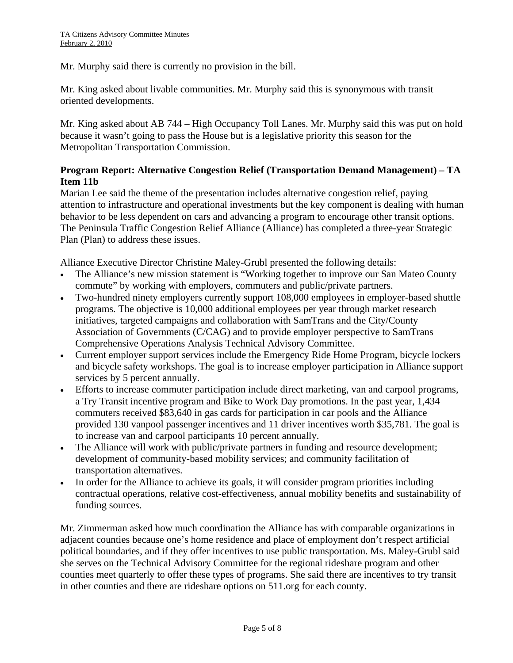Mr. Murphy said there is currently no provision in the bill.

Mr. King asked about livable communities. Mr. Murphy said this is synonymous with transit oriented developments.

Mr. King asked about AB 744 – High Occupancy Toll Lanes. Mr. Murphy said this was put on hold because it wasn't going to pass the House but is a legislative priority this season for the Metropolitan Transportation Commission.

# **Program Report: Alternative Congestion Relief (Transportation Demand Management) – TA Item 11b**

Marian Lee said the theme of the presentation includes alternative congestion relief, paying attention to infrastructure and operational investments but the key component is dealing with human behavior to be less dependent on cars and advancing a program to encourage other transit options. The Peninsula Traffic Congestion Relief Alliance (Alliance) has completed a three-year Strategic Plan (Plan) to address these issues.

Alliance Executive Director Christine Maley-Grubl presented the following details:

- The Alliance's new mission statement is "Working together to improve our San Mateo County commute" by working with employers, commuters and public/private partners.
- Two-hundred ninety employers currently support 108,000 employees in employer-based shuttle programs. The objective is 10,000 additional employees per year through market research initiatives, targeted campaigns and collaboration with SamTrans and the City/County Association of Governments (C/CAG) and to provide employer perspective to SamTrans Comprehensive Operations Analysis Technical Advisory Committee.
- Current employer support services include the Emergency Ride Home Program, bicycle lockers and bicycle safety workshops. The goal is to increase employer participation in Alliance support services by 5 percent annually.
- Efforts to increase commuter participation include direct marketing, van and carpool programs, a Try Transit incentive program and Bike to Work Day promotions. In the past year, 1,434 commuters received \$83,640 in gas cards for participation in car pools and the Alliance provided 130 vanpool passenger incentives and 11 driver incentives worth \$35,781. The goal is to increase van and carpool participants 10 percent annually.
- The Alliance will work with public/private partners in funding and resource development; development of community-based mobility services; and community facilitation of transportation alternatives.
- In order for the Alliance to achieve its goals, it will consider program priorities including contractual operations, relative cost-effectiveness, annual mobility benefits and sustainability of funding sources.

Mr. Zimmerman asked how much coordination the Alliance has with comparable organizations in adjacent counties because one's home residence and place of employment don't respect artificial political boundaries, and if they offer incentives to use public transportation. Ms. Maley-Grubl said she serves on the Technical Advisory Committee for the regional rideshare program and other counties meet quarterly to offer these types of programs. She said there are incentives to try transit in other counties and there are rideshare options on 511.org for each county.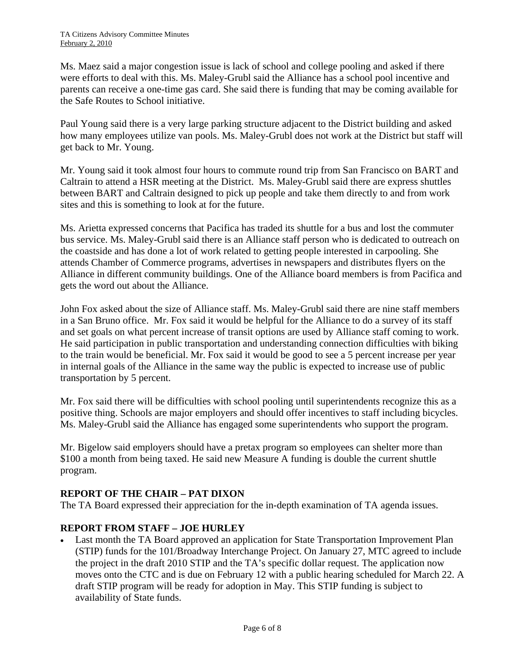Ms. Maez said a major congestion issue is lack of school and college pooling and asked if there were efforts to deal with this. Ms. Maley-Grubl said the Alliance has a school pool incentive and parents can receive a one-time gas card. She said there is funding that may be coming available for the Safe Routes to School initiative.

Paul Young said there is a very large parking structure adjacent to the District building and asked how many employees utilize van pools. Ms. Maley-Grubl does not work at the District but staff will get back to Mr. Young.

Mr. Young said it took almost four hours to commute round trip from San Francisco on BART and Caltrain to attend a HSR meeting at the District. Ms. Maley-Grubl said there are express shuttles between BART and Caltrain designed to pick up people and take them directly to and from work sites and this is something to look at for the future.

Ms. Arietta expressed concerns that Pacifica has traded its shuttle for a bus and lost the commuter bus service. Ms. Maley-Grubl said there is an Alliance staff person who is dedicated to outreach on the coastside and has done a lot of work related to getting people interested in carpooling. She attends Chamber of Commerce programs, advertises in newspapers and distributes flyers on the Alliance in different community buildings. One of the Alliance board members is from Pacifica and gets the word out about the Alliance.

John Fox asked about the size of Alliance staff. Ms. Maley-Grubl said there are nine staff members in a San Bruno office. Mr. Fox said it would be helpful for the Alliance to do a survey of its staff and set goals on what percent increase of transit options are used by Alliance staff coming to work. He said participation in public transportation and understanding connection difficulties with biking to the train would be beneficial. Mr. Fox said it would be good to see a 5 percent increase per year in internal goals of the Alliance in the same way the public is expected to increase use of public transportation by 5 percent.

Mr. Fox said there will be difficulties with school pooling until superintendents recognize this as a positive thing. Schools are major employers and should offer incentives to staff including bicycles. Ms. Maley-Grubl said the Alliance has engaged some superintendents who support the program.

Mr. Bigelow said employers should have a pretax program so employees can shelter more than \$100 a month from being taxed. He said new Measure A funding is double the current shuttle program.

# **REPORT OF THE CHAIR – PAT DIXON**

The TA Board expressed their appreciation for the in-depth examination of TA agenda issues.

# **REPORT FROM STAFF – JOE HURLEY**

• Last month the TA Board approved an application for State Transportation Improvement Plan (STIP) funds for the 101/Broadway Interchange Project. On January 27, MTC agreed to include the project in the draft 2010 STIP and the TA's specific dollar request. The application now moves onto the CTC and is due on February 12 with a public hearing scheduled for March 22. A draft STIP program will be ready for adoption in May. This STIP funding is subject to availability of State funds.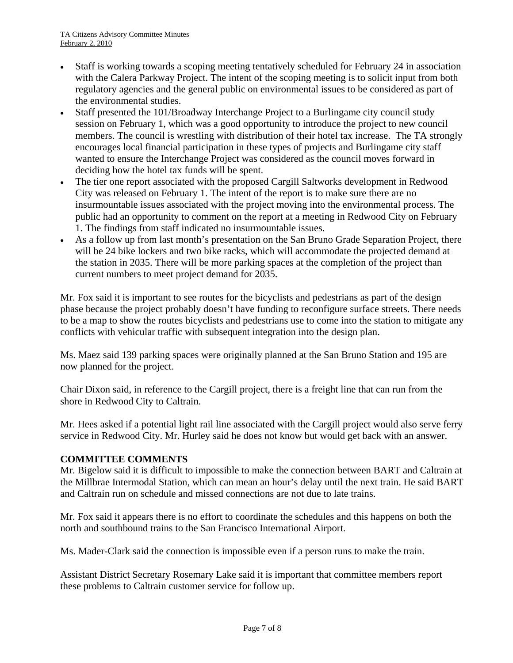- Staff is working towards a scoping meeting tentatively scheduled for February 24 in association with the Calera Parkway Project. The intent of the scoping meeting is to solicit input from both regulatory agencies and the general public on environmental issues to be considered as part of the environmental studies.
- Staff presented the 101/Broadway Interchange Project to a Burlingame city council study session on February 1, which was a good opportunity to introduce the project to new council members. The council is wrestling with distribution of their hotel tax increase. The TA strongly encourages local financial participation in these types of projects and Burlingame city staff wanted to ensure the Interchange Project was considered as the council moves forward in deciding how the hotel tax funds will be spent.
- The tier one report associated with the proposed Cargill Saltworks development in Redwood City was released on February 1. The intent of the report is to make sure there are no insurmountable issues associated with the project moving into the environmental process. The public had an opportunity to comment on the report at a meeting in Redwood City on February 1. The findings from staff indicated no insurmountable issues.
- As a follow up from last month's presentation on the San Bruno Grade Separation Project, there will be 24 bike lockers and two bike racks, which will accommodate the projected demand at the station in 2035. There will be more parking spaces at the completion of the project than current numbers to meet project demand for 2035.

Mr. Fox said it is important to see routes for the bicyclists and pedestrians as part of the design phase because the project probably doesn't have funding to reconfigure surface streets. There needs to be a map to show the routes bicyclists and pedestrians use to come into the station to mitigate any conflicts with vehicular traffic with subsequent integration into the design plan.

Ms. Maez said 139 parking spaces were originally planned at the San Bruno Station and 195 are now planned for the project.

Chair Dixon said, in reference to the Cargill project, there is a freight line that can run from the shore in Redwood City to Caltrain.

Mr. Hees asked if a potential light rail line associated with the Cargill project would also serve ferry service in Redwood City. Mr. Hurley said he does not know but would get back with an answer.

# **COMMITTEE COMMENTS**

Mr. Bigelow said it is difficult to impossible to make the connection between BART and Caltrain at the Millbrae Intermodal Station, which can mean an hour's delay until the next train. He said BART and Caltrain run on schedule and missed connections are not due to late trains.

Mr. Fox said it appears there is no effort to coordinate the schedules and this happens on both the north and southbound trains to the San Francisco International Airport.

Ms. Mader-Clark said the connection is impossible even if a person runs to make the train.

Assistant District Secretary Rosemary Lake said it is important that committee members report these problems to Caltrain customer service for follow up.